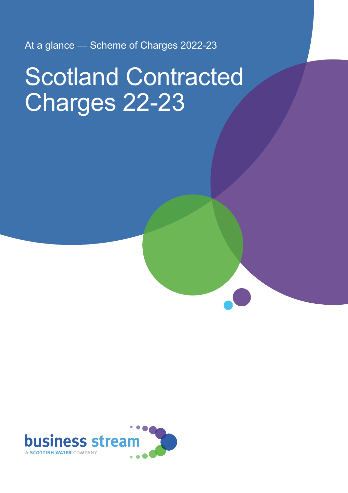At a glance — Scheme of Charges 2022-23

# Scotland Contracted Charges 22-23

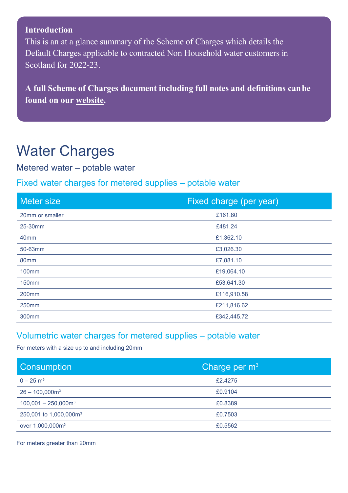#### **Introduction**

This is an at a glance summary of the Scheme of Charges which details the Default Charges applicable to contracted Non Household water customers in Scotland for 2022-23.

**A full Scheme of Charges document including full notes and definitions canbe found on our [website.](https://d293gcbh7q7l5y.cloudfront.net/images/uploads/general/Scotland_Contracted_primary_charges_2022-23_final_v1_1.pdf)**

### Water Charges

Metered water – potable water

#### Fixed water charges for metered supplies – potable water

| Meter size        | Fixed charge (per year) |
|-------------------|-------------------------|
| 20mm or smaller   | £161.80                 |
| 25-30mm           | £481.24                 |
| 40mm              | £1,362.10               |
| 50-63mm           | £3,026.30               |
| 80mm              | £7,881.10               |
| <b>100mm</b>      | £19,064.10              |
| <b>150mm</b>      | £53,641.30              |
| 200 <sub>mm</sub> | £116,910.58             |
| 250mm             | £211,816.62             |
| 300mm             | £342,445.72             |

#### Volumetric water charges for metered supplies – potable water

For meters with a size up to and including 20mm

| <b>Consumption</b>                 | Charge per $m3$ |
|------------------------------------|-----------------|
| $0 - 25$ m <sup>3</sup>            | £2.4275         |
| $26 - 100,000$ m <sup>3</sup>      | £0.9104         |
| $100,001 - 250,000$ m <sup>3</sup> | £0.8389         |
| 250,001 to 1,000,000m <sup>3</sup> | £0.7503         |
| over 1,000,000m <sup>3</sup>       | £0.5562         |

For meters greater than 20mm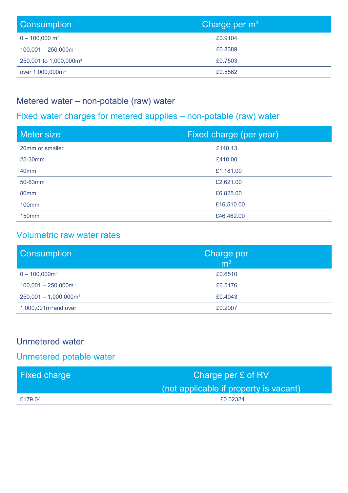| <b>Consumption</b>                 | Charge per m <sup>31</sup> |
|------------------------------------|----------------------------|
| $0 - 100,000$ m <sup>3</sup>       | £0.9104                    |
| $100,001 - 250,000$ m <sup>3</sup> | £0.8389                    |
| 250,001 to 1,000,000m <sup>3</sup> | £0.7503                    |
| over 1,000,000m <sup>3</sup>       | £0.5562                    |

#### Metered water – non-potable (raw) water

#### Fixed water charges for metered supplies – non-potable (raw) water

| <b>Meter size</b> | Fixed charge (per year) |
|-------------------|-------------------------|
| 20mm or smaller   | £140.13                 |
| 25-30mm           | £418.00                 |
| 40 <sub>mm</sub>  | £1,181.00               |
| 50-63mm           | £2,621.00               |
| 80mm              | £6,825.00               |
| <b>100mm</b>      | £16,510.00              |
| <b>150mm</b>      | £46,462.00              |

#### Volumetric raw water rates

| <b>Consumption</b>                   | <b>Charge per</b><br>m <sup>3</sup> |
|--------------------------------------|-------------------------------------|
| $0 - 100,000$ m <sup>3</sup>         | £0.6510                             |
| $100,001 - 250,000$ m <sup>3</sup>   | £0.5176                             |
| $250,001 - 1,000,000$ m <sup>3</sup> | £0.4043                             |
| $1,000,001m3$ and over               | £0.2007                             |

#### Unmetered water

#### Unmetered potable water

| <b>Fixed charge</b> | Charge per £ of RV                     |
|---------------------|----------------------------------------|
|                     | (not applicable if property is vacant) |
| £179.04             | £0.02324                               |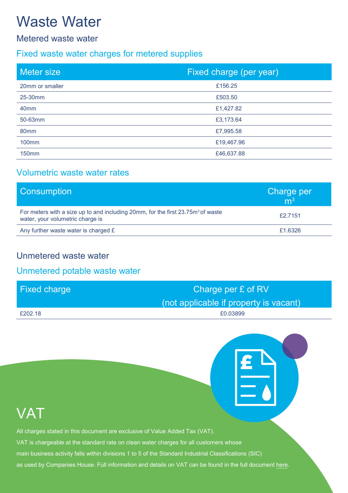# Waste Water

#### Metered waste water

#### Fixed waste water charges for metered supplies

| <b>Meter size</b> | Fixed charge (per year) |
|-------------------|-------------------------|
| 20mm or smaller   | £156.25                 |
| 25-30mm           | £503.50                 |
| 40 <sub>mm</sub>  | £1,427.82               |
| 50-63mm           | £3,173.64               |
| 80mm              | £7,995.58               |
| <b>100mm</b>      | £19,467.96              |
| <b>150mm</b>      | £46,637.88              |

#### Volumetric waste water rates

| <b>Consumption</b>                                                                                                              | Charge per<br>m <sup>3</sup> |
|---------------------------------------------------------------------------------------------------------------------------------|------------------------------|
| For meters with a size up to and including 20mm, for the first 23.75m <sup>3</sup> of waste<br>water, your volumetric charge is | £2.7151                      |
| Any further waste water is charged £                                                                                            | £1.6326                      |

#### Unmetered waste water

#### Unmetered potable waste water

| <b>Fixed charge</b> | Charge per £ of RV                     |
|---------------------|----------------------------------------|
|                     | (not applicable if property is vacant) |
| £202.18             | £0.03899                               |

### **VAT**

All charges stated in this document are exclusive of Value Added Tax (VAT).

- VAT is chargeable at the standard rate on clean water charges for all customers whose
- main business activity falls within divisions 1 to 5 of the Standard Industrial Classifications (SIC)
- as used by Companies House. Full information and details on VAT can be found in the full document [here.](https://d293gcbh7q7l5y.cloudfront.net/images/uploads/general/Scotland_Contracted_primary_charges_2022-23_final_v1_1.pdf)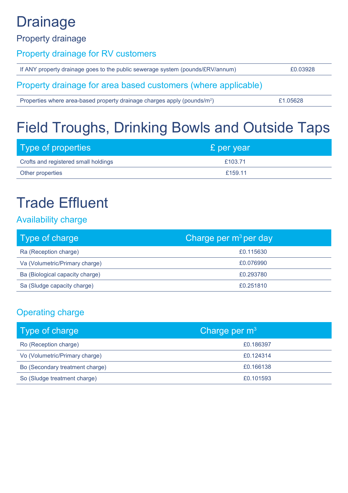# **Drainage**

#### Property drainage

#### Property drainage for RV customers

| If ANY property drainage goes to the public sewerage system (pounds/£RV/annum) | £0.03928 |
|--------------------------------------------------------------------------------|----------|
| Property drainage for area based customers (where applicable)                  |          |
| Properties where area-based property drainage charges apply (pounds/ $m^2$ )   | £1.05628 |

# Field Troughs, Drinking Bowls and Outside Taps

| Type of properties                   | £ per year |
|--------------------------------------|------------|
| Crofts and registered small holdings | £103.71    |
| Other properties                     | £159.11    |

# Trade Effluent

#### Availability charge

| Type of charge                  | Charge per $m^3$ per day |
|---------------------------------|--------------------------|
| Ra (Reception charge)           | £0.115630                |
| Va (Volumetric/Primary charge)  | £0.076990                |
| Ba (Biological capacity charge) | £0.293780                |
| Sa (Sludge capacity charge)     | £0.251810                |

#### Operating charge

| Type of charge                  | Charge per $m3$ |
|---------------------------------|-----------------|
| Ro (Reception charge)           | £0.186397       |
| Vo (Volumetric/Primary charge)  | £0.124314       |
| Bo (Secondary treatment charge) | £0.166138       |
| So (Sludge treatment charge)    | £0.101593       |